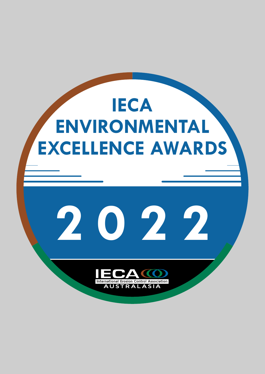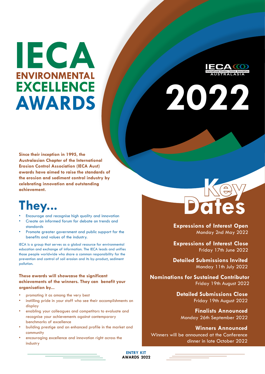# **IECA ENVIRONMENTAL EXCELLENCE AWARDS**



**2022**

**Since their inception in 1995, the Australasian Chapter of the International Erosion Control Association (IECA Aust) awards have aimed to raise the standards of the erosion and sediment control industry by celebrating innovation and outstanding achievement.**

- Encourage and recognise high quality and innovation
- Create an informed forum for debate on trends and standards
- Promote greater government and public support for the benefits and values of the industry.

IECA is a group that serves as a global resource for environmental education and exchange of information. The IECA leads and unifies those people worldwide who share a common responsibility for the prevention and control of soil erosion and its by-product, sediment pollution.

#### **These awards will showcase the significant achievements of the winners. They can benefit your organisation by...**

- promoting it as among the very best
- instilling pride in your staff who see their accomplishments on display
- enabling your colleagues and competitors to evaluate and recognise your achievements against contemporary benchmarks of excellence
- building prestige and an enhanced profile in the market and community
- encouraging excellence and innovation right across the industry



**Expressions of Interest Open** Monday 2nd May 2022

**Expressions of Interest Close** Friday 17th June 2022

**Detailed Submissions Invited** Monday 11th July 2022

**Nominations for Sustained Contributor** Friday 19th August 2022

> **Detailed Submissions Close** Friday 19th August 2022

**Finalists Announced** Monday 26th September 2022

**Winners Announced** Winners will be announced at the Conference dinner in late October 2022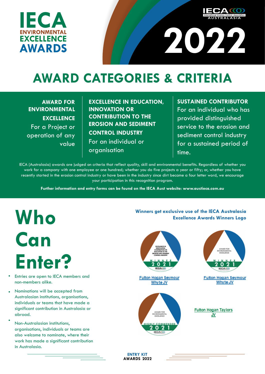



# **AWARD CATEGORIES & CRITERIA**

**AWARD FOR ENVIRONMENTAL EXCELLENCE** For a Project or operation of any value

**EXCELLENCE IN EDUCATION, INNOVATION OR CONTRIBUTION TO THE EROSION AND SEDIMENT CONTROL INDUSTRY** For an individual or organisation

**SUSTAINED CONTRIBUTOR**  For an individual who has provided distinguished service to the erosion and sediment control industry for a sustained period of time.

IECA (Australasia) awards are judged on criteria that reflect quality, skill and environmental benefits. Regardless of whether you work for a company with one employee or one hundred; whether you do five projects a year or fifty; or, whether you have recently started in the erosion control industry or have been in the industry since dirt became a four letter word, we encourage your participation in this recognition program.

**Further information and entry forms can be found on the IECA Aust website: www.austieca.com.au**

**Who Can Enter?**

- Entries are open to IECA members and non-members alike. •
- Nominations will be accepted from Australasian institutions, organisations, individuals or teams that have made a significant contribution in Australasia or abroad. •
- Non-Australasian institutions, organisations, individuals or teams are also welcome to nominate, where their work has made a significant contribution in Australasia. •

### **Winners get exclusive use of the IECA Australasia Excellence Awards Winners Logo**



**Fulton Hogan Seymour** Why te JV





**Fulton Hogan Seymour Whyte JV** 

**Fulton Hogan Taylors** JV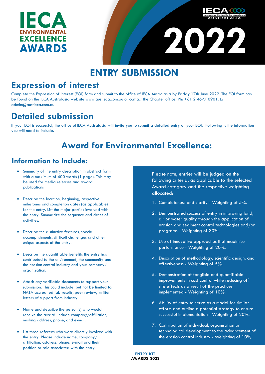



## **ENTRY SUBMISSION**

### **Expression of interest**

Complete the Expression of Interest (EOI) form and submit to the office of IECA Australasia by Friday 17th June 2022. The EOI form can be found on the IECA Australasia website www.austieca.com.au or contact the Chapter office: Ph: +61 2 4677 0901, E: admin@austieca.com.au

## **Detailed submission**

If your EOI is successful, the office of IECA Australasia will invite you to submit a detailed entry of your EOI. Following is the information you will need to include.

## **Award for Environmental Excellence:**

### **Information to Include:**

- Summary of the entry description in abstract form with a maximum of 400 words (1 page). This may be used for media releases and award publications
- Describe the location, beginning, respective milestones and completion dates (as applicable) for the entry. List the major parties involved with the entry. Summarize the sequence and dates of activities.
- Describe the distinctive features, special accomplishments, difficult challenges and other unique aspects of the entry.
- Describe the quantifiable benefits the entry has contributed to the environment, the community and the erosion control industry and your company/ organization.
- Attach any verifiable documents to support your submission. This could include, but not be limited to: NATA accredited lab results, peer review, written letters of support from industry
- Name and describe the person(s) who would receive the award. Include company/affiliation, mailing address, phone, and e-mail.
- List three referees who were directly involved with the entry. Please include name, company/ affiliation, address, phone, e-mail and their position or role associated with the entry.

Please note, entries will be judged on the following criteria, as applicable to the selected Award category and the respective weighting allocated:

- 1. Completeness and clarity Weighting of 5%.
- 2. Demonstrated success of entry in improving land, air or water quality through the application of erosion and sediment control technologies and/or programs - Weighting of 30%
- Use of innovative approaches that maximise 3. performance - Weighting of 20%.
- 4. Description of methodology, scientific design, and effectiveness - Weighting of 5%.
- 5. Demonstration of tangible and quantifiable improvements in cost control while reducing off site effects as a result of the practices implemented - Weighting of 10%.
- Ability of entry to serve as a model for similar 6. efforts and outline a potential strategy to ensure successful implementation - Weighting of 20%.
- Contribution of individual, organisation or 7. technological development to the advancement of the erosion control industry - Weighting of 10%.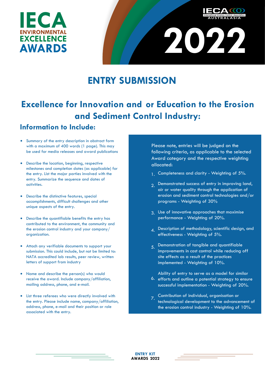



## **ENTRY SUBMISSION**

## **Excellence for Innovation and or Education to the Erosion and Sediment Control Industry:**

### **Information to Include:**

- Summary of the entry description in abstract form with a maximum of 400 words (1 page). This may be used for media releases and award publications
- Describe the location, beginning, respective milestones and completion dates (as applicable) for the entry. List the major parties involved with the entry. Summarize the sequence and dates of activities.
- Describe the distinctive features, special accomplishments, difficult challenges and other unique aspects of the entry.
- Describe the quantifiable benefits the entry has contributed to the environment, the community and the erosion control industry and your company/ organization.
- Attach any verifiable documents to support your submission. This could include, but not be limited to: NATA accredited lab results, peer review, written letters of support from industry
- Name and describe the person(s) who would receive the award. Include company/affiliation, mailing address, phone, and e-mail.
- List three referees who were directly involved with the entry. Please include name, company/affiliation, address, phone, e-mail and their position or role associated with the entry.

Please note, entries will be judged on the following criteria, as applicable to the selected Award category and the respective weighting allocated:

- Completeness and clarity Weighting of 5%. 1.
- Demonstrated success of entry in improving land, 2. air or water quality through the application of erosion and sediment control technologies and/or programs - Weighting of 30%
- Use of innovative approaches that maximise 3. performance - Weighting of 20%.
- Description of methodology, scientific design, and 4. effectiveness - Weighting of 5%.
- Demonstration of tangible and quantifiable 5. improvements in cost control while reducing off site effects as a result of the practices implemented - Weighting of 10%.
- Ability of entry to serve as a model for similar 6. efforts and outline a potential strategy to ensure successful implementation - Weighting of 20%.
- Contribution of individual, organisation or technological development to the advancement of the erosion control industry - Weighting of 10%. 7.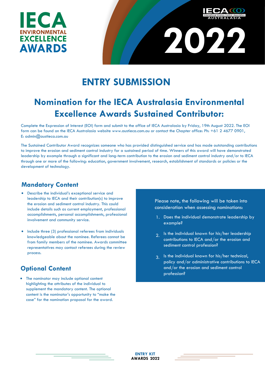



## **ENTRY SUBMISSION**

## **Nomination for the IECA Australasia Environmental Excellence Awards Sustained Contributor:**

Complete the Expression of Interest (EOI) form and submit to the office of IECA Australasia by Friday, 19th August 2022. The EOI form can be found on the IECA Australasia website www.austieca.com.au or contact the Chapter office: Ph: +61 2 4677 0901, E: admin@austieca.com.au

The Sustained Contributor Award recognizes someone who has provided distinguished service and has made outstanding contributions to improve the erosion and sediment control industry for a sustained period of time. Winners of this award will have demonstrated leadership by example through a significant and long-term contribution to the erosion and sediment control industry and/or to IECA through one or more of the following: education, government involvement, research, establishment of standards or policies or the development of technology.

### **Mandatory Content**

- Describe the individual's exceptional service and leadership to IECA and their contribution(s) to improve the erosion and sediment control industry. This could include details such as current employment, professional accomplishments, personal accomplishments, professional involvement and community service.
- Include three (3) professional referees from individuals knowledgeable about the nominee. Referees cannot be from family members of the nominee. Awards committee representatives may contact referees during the review process.

### **Optional Content**

• The nominator may include optional content highlighting the attributes of the individual to supplement the mandatory content. The optional content is the nominator's opportunity to "make the case" for the nomination proposal for the award.

Please note, the following will be taken into consideration when assessing nominations:

- 1. Does the individual demonstrate leadership by example?
- 2. Is the individual known for his/her leadership contributions to IECA and/or the erosion and sediment control profession?
- 3. Is the individual known for his/her technical, policy and/or administrative contributions to IECA and/or the erosion and sediment control profession?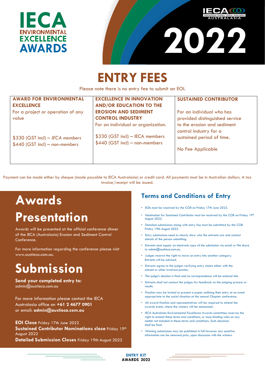



# **ENTRY FEES**

Please note there is no entry fee to submit an EOI.

| <b>AWARD FOR ENVIRONMENTAL</b><br><b>EXCELLENCE</b>                | <b>EXCELLENCE IN INNOVATION</b><br><b>AND/OR EDUCATION TO THE</b>  | <b>SUSTAINED CONTRIBUTOR</b>                          |
|--------------------------------------------------------------------|--------------------------------------------------------------------|-------------------------------------------------------|
| For a project or operation of any                                  | <b>EROSION AND SEDIMENT</b>                                        | For an individual who has                             |
| value                                                              | <b>CONTROL INDUSTRY</b>                                            | provided distinguished service                        |
|                                                                    | For an individual or organization.                                 | to the erosion and sediment<br>control industry for a |
| \$330 (GST incl) - IECA members<br>$$440$ (GST incl) – non-members | \$330 (GST incl) - IECA members<br>$$440$ (GST incl) – non-members | sustained period of time.                             |
|                                                                    |                                                                    | No Fee Applicable                                     |
|                                                                    |                                                                    |                                                       |

Payment can be made either by cheque (made payable to IECA Australasia) or credit card. All payments must be in Australian dollars. A tax invoice/receipt will be issued.

# **Awards Presentation**

Awards will be presented at the official conference dinner of the IECA (Australasia) Erosion and Sediment Control Conference.

For more information regarding the conference please visit www.austieca.com.au.

# **Submission**

**Send your completed entry to:** admin@austieca.com.au

For more information please contact the IECA Australasia office on **+61 2 4677 0901** or email: **admin@austieca.com.au**

**EOI Close** Friday 17th June 2022 **Sustained Contributor Nominations close** Friday 19th August 2022 **Detailed Submission Closes** Friday 19th August 2022

### **Terms and Conditions of Entry**

- EOIs must be received by the COB on Friday 17th June 2022.
- Nomination for Sustained Contributor must be received by the COB on Friday 19th August 2022.
- Detailed submissions along with entry fee must be submitted by the COB Friday 19th August 2022.
- Entry submissions need to clearly show who the entrants are and contact details of the person submitting.
- Entrants must supply an electronic copy of the submission via email or file share to admin@austieca.com.au.
- Judges reserve the right to move an entry into another category. Entrants will be advised.
- Entrants agree to the judges verifying entry claims either with the entrant or other involved parties.
- The judge's decision is final and no correspondence will be entered into.
- Entrants shall not contact the judges for feedback on the judging process or results.
- Finalists may be invited to present a paper outlining their entry at an event appropriate to the social situation at the annual Chapter conference.
- All award finalists and representatives will be required to attend the awards event, where the winners will be announced.
- IECA Australasia Environmental Excellence Awards committee reserves the right to amend these terms and conditions, or issue binding rules on any matter not included in these terms and conditions. Such decisions shall be final.
- Winning submissions may be published in full however any sensitive information can be removed prior, upon discussion with the winners